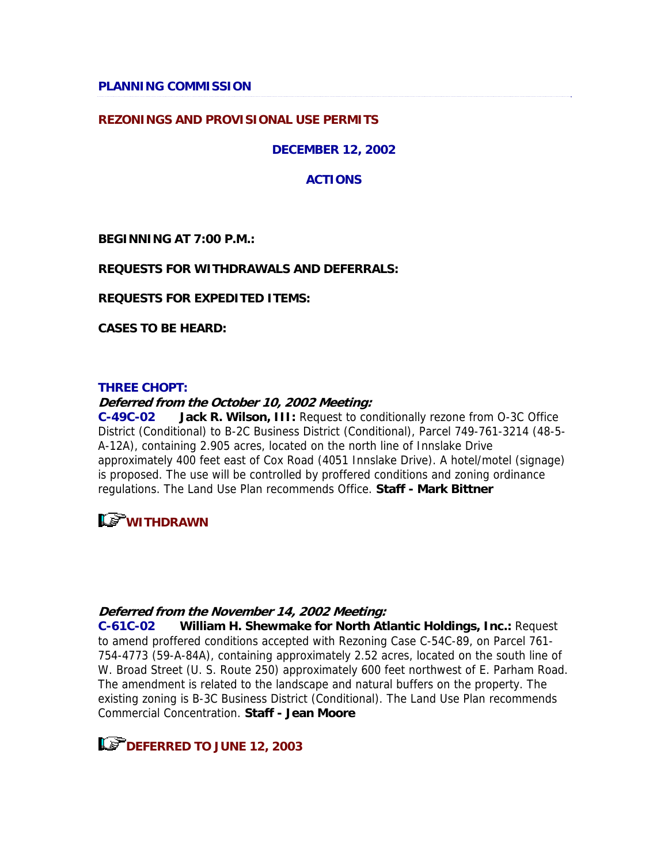**PLANNING COMMISSION** 

### **REZONINGS AND PROVISIONAL USE PERMITS**

### **DECEMBER 12, 2002**

### **ACTIONS**

**BEGINNING AT 7:00 P.M.:** 

### **REQUESTS FOR WITHDRAWALS AND DEFERRALS:**

**REQUESTS FOR EXPEDITED ITEMS:** 

**CASES TO BE HEARD:** 

#### **THREE CHOPT:**

#### **Deferred from the October 10, 2002 Meeting:**

**C-49C-02 Jack R. Wilson, III:** Request to conditionally rezone from O-3C Office District (Conditional) to B-2C Business District (Conditional), Parcel 749-761-3214 (48-5- A-12A), containing 2.905 acres, located on the north line of Innslake Drive approximately 400 feet east of Cox Road (4051 Innslake Drive). A hotel/motel (signage) is proposed. The use will be controlled by proffered conditions and zoning ordinance regulations. The Land Use Plan recommends Office. **Staff - Mark Bittner**

# **LS** WITHDRAWN

### **Deferred from the November 14, 2002 Meeting:**

**C-61C-02 William H. Shewmake for North Atlantic Holdings, Inc.:** Request to amend proffered conditions accepted with Rezoning Case C-54C-89, on Parcel 761- 754-4773 (59-A-84A), containing approximately 2.52 acres, located on the south line of W. Broad Street (U. S. Route 250) approximately 600 feet northwest of E. Parham Road. The amendment is related to the landscape and natural buffers on the property. The existing zoning is B-3C Business District (Conditional). The Land Use Plan recommends Commercial Concentration. **Staff - Jean Moore**

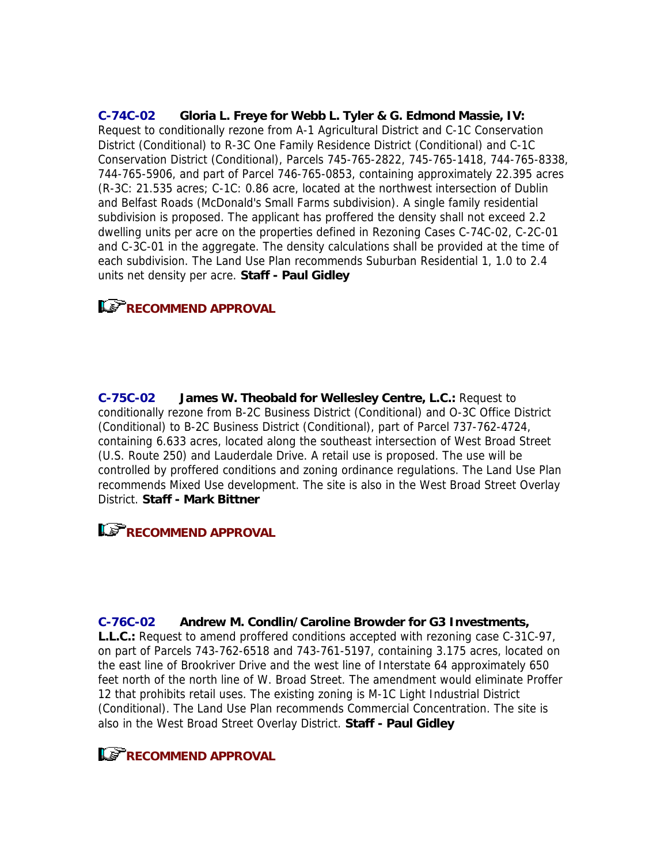**C-74C-02 Gloria L. Freye for Webb L. Tyler & G. Edmond Massie, IV:** Request to conditionally rezone from A-1 Agricultural District and C-1C Conservation District (Conditional) to R-3C One Family Residence District (Conditional) and C-1C Conservation District (Conditional), Parcels 745-765-2822, 745-765-1418, 744-765-8338, 744-765-5906, and part of Parcel 746-765-0853, containing approximately 22.395 acres (R-3C: 21.535 acres; C-1C: 0.86 acre, located at the northwest intersection of Dublin and Belfast Roads (McDonald's Small Farms subdivision). A single family residential subdivision is proposed. The applicant has proffered the density shall not exceed 2.2 dwelling units per acre on the properties defined in Rezoning Cases C-74C-02, C-2C-01 and C-3C-01 in the aggregate. The density calculations shall be provided at the time of each subdivision. The Land Use Plan recommends Suburban Residential 1, 1.0 to 2.4 units net density per acre. **Staff - Paul Gidley**

### **RECOMMEND APPROVAL**

**C-75C-02 James W. Theobald for Wellesley Centre, L.C.:** Request to conditionally rezone from B-2C Business District (Conditional) and O-3C Office District (Conditional) to B-2C Business District (Conditional), part of Parcel 737-762-4724, containing 6.633 acres, located along the southeast intersection of West Broad Street (U.S. Route 250) and Lauderdale Drive. A retail use is proposed. The use will be controlled by proffered conditions and zoning ordinance regulations. The Land Use Plan recommends Mixed Use development. The site is also in the West Broad Street Overlay District. **Staff - Mark Bittner**

### **RECOMMEND APPROVAL**

#### **C-76C-02 Andrew M. Condlin/Caroline Browder for G3 Investments,**

**L.L.C.:** Request to amend proffered conditions accepted with rezoning case C-31C-97, on part of Parcels 743-762-6518 and 743-761-5197, containing 3.175 acres, located on the east line of Brookriver Drive and the west line of Interstate 64 approximately 650 feet north of the north line of W. Broad Street. The amendment would eliminate Proffer 12 that prohibits retail uses. The existing zoning is M-1C Light Industrial District (Conditional). The Land Use Plan recommends Commercial Concentration. The site is also in the West Broad Street Overlay District. **Staff - Paul Gidley**

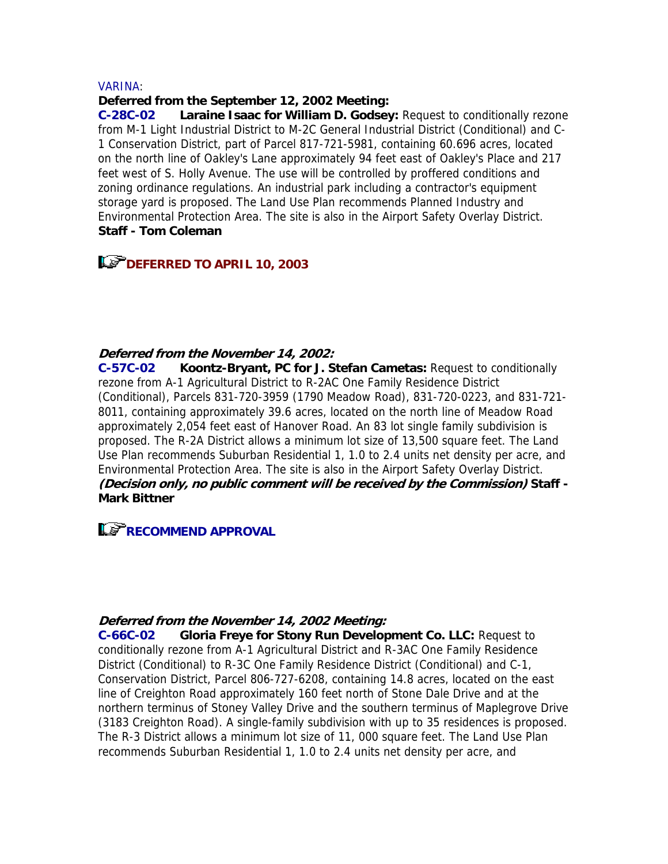#### VARINA:

#### **Deferred from the September 12, 2002 Meeting:**

**C-28C-02 Laraine Isaac for William D. Godsey:** Request to conditionally rezone from M-1 Light Industrial District to M-2C General Industrial District (Conditional) and C-1 Conservation District, part of Parcel 817-721-5981, containing 60.696 acres, located on the north line of Oakley's Lane approximately 94 feet east of Oakley's Place and 217 feet west of S. Holly Avenue. The use will be controlled by proffered conditions and zoning ordinance regulations. An industrial park including a contractor's equipment storage yard is proposed. The Land Use Plan recommends Planned Industry and Environmental Protection Area. The site is also in the Airport Safety Overlay District. **Staff - Tom Coleman**

## **Le<sup>P</sup>DEFERRED TO APRIL 10, 2003**

#### **Deferred from the November 14, 2002:**

**C-57C-02 Koontz-Bryant, PC for J. Stefan Cametas:** Request to conditionally rezone from A-1 Agricultural District to R-2AC One Family Residence District (Conditional), Parcels 831-720-3959 (1790 Meadow Road), 831-720-0223, and 831-721- 8011, containing approximately 39.6 acres, located on the north line of Meadow Road approximately 2,054 feet east of Hanover Road. An 83 lot single family subdivision is proposed. The R-2A District allows a minimum lot size of 13,500 square feet. The Land Use Plan recommends Suburban Residential 1, 1.0 to 2.4 units net density per acre, and Environmental Protection Area. The site is also in the Airport Safety Overlay District. **(Decision only, no public comment will be received by the Commission) Staff - Mark Bittner**

## **RECOMMEND APPROVAL**

#### **Deferred from the November 14, 2002 Meeting:**

**C-66C-02 Gloria Freye for Stony Run Development Co. LLC:** Request to conditionally rezone from A-1 Agricultural District and R-3AC One Family Residence District (Conditional) to R-3C One Family Residence District (Conditional) and C-1, Conservation District, Parcel 806-727-6208, containing 14.8 acres, located on the east line of Creighton Road approximately 160 feet north of Stone Dale Drive and at the northern terminus of Stoney Valley Drive and the southern terminus of Maplegrove Drive (3183 Creighton Road). A single-family subdivision with up to 35 residences is proposed. The R-3 District allows a minimum lot size of 11, 000 square feet. The Land Use Plan recommends Suburban Residential 1, 1.0 to 2.4 units net density per acre, and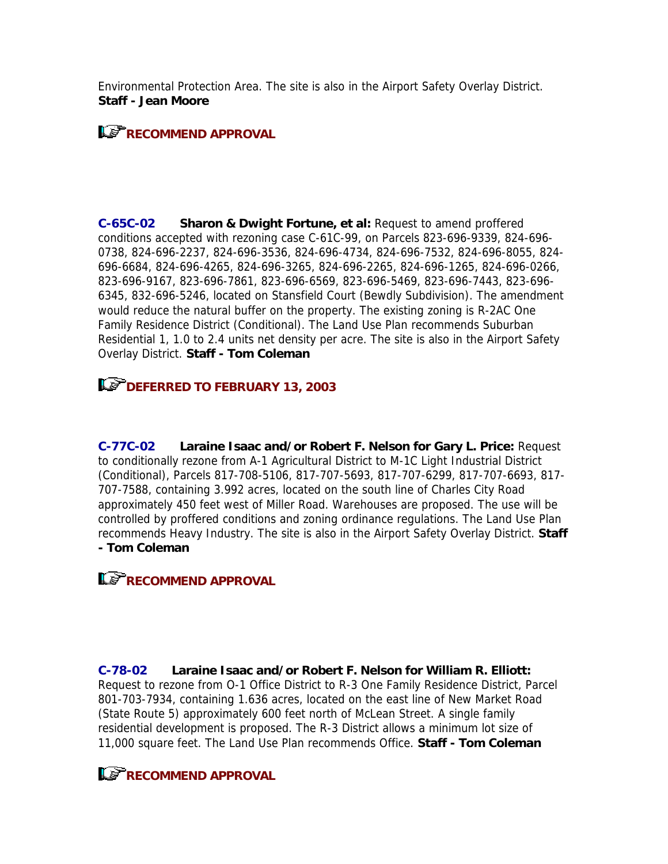Environmental Protection Area. The site is also in the Airport Safety Overlay District. **Staff - Jean Moore**

## **RECOMMEND APPROVAL**

**C-65C-02 Sharon & Dwight Fortune, et al:** Request to amend proffered conditions accepted with rezoning case C-61C-99, on Parcels 823-696-9339, 824-696- 0738, 824-696-2237, 824-696-3536, 824-696-4734, 824-696-7532, 824-696-8055, 824- 696-6684, 824-696-4265, 824-696-3265, 824-696-2265, 824-696-1265, 824-696-0266, 823-696-9167, 823-696-7861, 823-696-6569, 823-696-5469, 823-696-7443, 823-696- 6345, 832-696-5246, located on Stansfield Court (Bewdly Subdivision). The amendment would reduce the natural buffer on the property. The existing zoning is R-2AC One Family Residence District (Conditional). The Land Use Plan recommends Suburban Residential 1, 1.0 to 2.4 units net density per acre. The site is also in the Airport Safety Overlay District. **Staff - Tom Coleman**

# **IDEFERRED TO FEBRUARY 13, 2003**

**C-77C-02 Laraine Isaac and/or Robert F. Nelson for Gary L. Price:** Request to conditionally rezone from A-1 Agricultural District to M-1C Light Industrial District (Conditional), Parcels 817-708-5106, 817-707-5693, 817-707-6299, 817-707-6693, 817- 707-7588, containing 3.992 acres, located on the south line of Charles City Road approximately 450 feet west of Miller Road. Warehouses are proposed. The use will be controlled by proffered conditions and zoning ordinance regulations. The Land Use Plan recommends Heavy Industry. The site is also in the Airport Safety Overlay District. **Staff - Tom Coleman**

## **RECOMMEND APPROVAL**

**C-78-02 Laraine Isaac and/or Robert F. Nelson for William R. Elliott:** Request to rezone from O-1 Office District to R-3 One Family Residence District, Parcel 801-703-7934, containing 1.636 acres, located on the east line of New Market Road (State Route 5) approximately 600 feet north of McLean Street. A single family residential development is proposed. The R-3 District allows a minimum lot size of 11,000 square feet. The Land Use Plan recommends Office. **Staff - Tom Coleman**

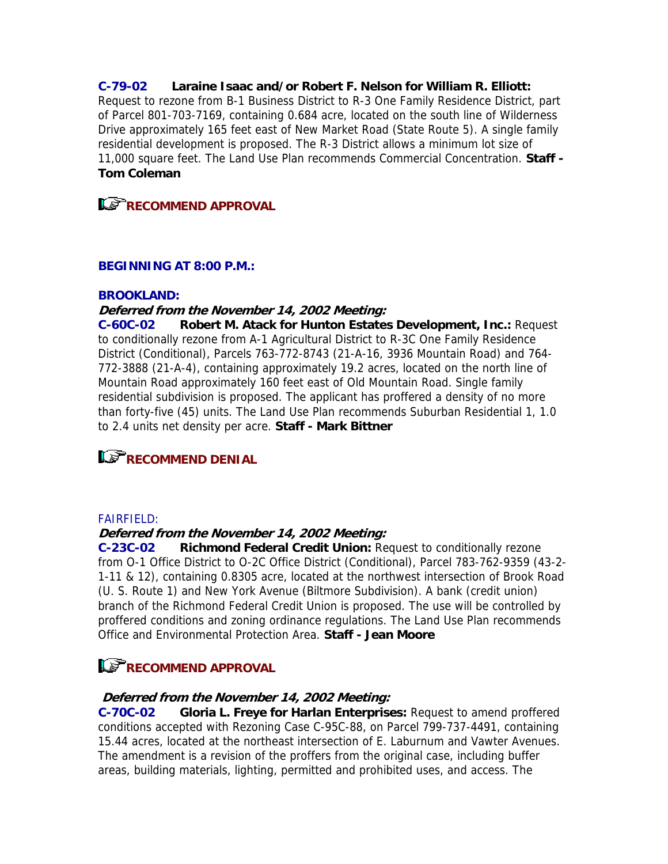**C-79-02 Laraine Isaac and/or Robert F. Nelson for William R. Elliott:** Request to rezone from B-1 Business District to R-3 One Family Residence District, part of Parcel 801-703-7169, containing 0.684 acre, located on the south line of Wilderness Drive approximately 165 feet east of New Market Road (State Route 5). A single family residential development is proposed. The R-3 District allows a minimum lot size of 11,000 square feet. The Land Use Plan recommends Commercial Concentration. **Staff - Tom Coleman**

**RECOMMEND APPROVAL** 

### **BEGINNING AT 8:00 P.M.:**

#### **BROOKLAND:**

#### **Deferred from the November 14, 2002 Meeting:**

**C-60C-02 Robert M. Atack for Hunton Estates Development, Inc.:** Request to conditionally rezone from A-1 Agricultural District to R-3C One Family Residence District (Conditional), Parcels 763-772-8743 (21-A-16, 3936 Mountain Road) and 764- 772-3888 (21-A-4), containing approximately 19.2 acres, located on the north line of Mountain Road approximately 160 feet east of Old Mountain Road. Single family residential subdivision is proposed. The applicant has proffered a density of no more than forty-five (45) units. The Land Use Plan recommends Suburban Residential 1, 1.0 to 2.4 units net density per acre. **Staff - Mark Bittner**



#### FAIRFIELD:

#### **Deferred from the November 14, 2002 Meeting:**

**C-23C-02 Richmond Federal Credit Union:** Request to conditionally rezone from O-1 Office District to O-2C Office District (Conditional), Parcel 783-762-9359 (43-2- 1-11 & 12), containing 0.8305 acre, located at the northwest intersection of Brook Road (U. S. Route 1) and New York Avenue (Biltmore Subdivision). A bank (credit union) branch of the Richmond Federal Credit Union is proposed. The use will be controlled by proffered conditions and zoning ordinance regulations. The Land Use Plan recommends Office and Environmental Protection Area. **Staff - Jean Moore**

# **RECOMMEND APPROVAL**

#### **Deferred from the November 14, 2002 Meeting:**

**C-70C-02 Gloria L. Freye for Harlan Enterprises:** Request to amend proffered conditions accepted with Rezoning Case C-95C-88, on Parcel 799-737-4491, containing 15.44 acres, located at the northeast intersection of E. Laburnum and Vawter Avenues. The amendment is a revision of the proffers from the original case, including buffer areas, building materials, lighting, permitted and prohibited uses, and access. The